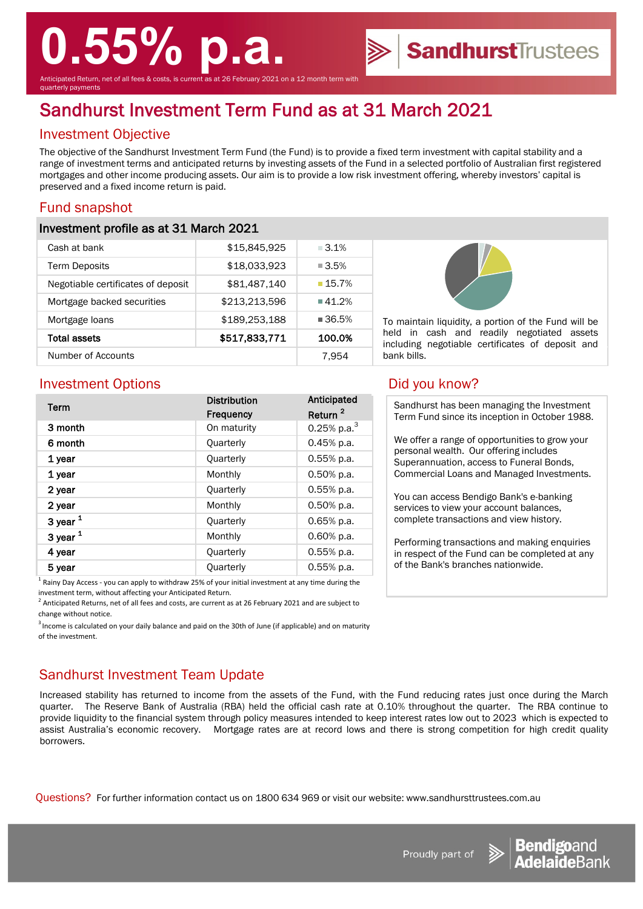# **0.55% p.a.**

Anticipated Return, net of all fees & costs, is current as at 26 February 2021 on a 12 month term with quarterly payments

# Sandhurst Investment Term Fund as at 31 March 2021

# Investment Objective

The objective of the Sandhurst Investment Term Fund (the Fund) is to provide a fixed term investment with capital stability and a range of investment terms and anticipated returns by investing assets of the Fund in a selected portfolio of Australian first registered mortgages and other income producing assets. Our aim is to provide a low risk investment offering, whereby investors' capital is preserved and a fixed income return is paid.

# Fund snapshot

#### Investment profile as at 31 March 2021

| Cash at bank                       | \$15,845,925  | $\Box$ 3.1%          |
|------------------------------------|---------------|----------------------|
| <b>Term Deposits</b>               | \$18,033,923  | $\blacksquare$ 3.5%  |
| Negotiable certificates of deposit | \$81,487,140  | 15.7%                |
| Mortgage backed securities         | \$213,213,596 | $\blacksquare$ 41.2% |
| Mortgage loans                     | \$189,253,188 | $\blacksquare$ 36.5% |
| Total assets                       | \$517,833,771 | 100.0%               |
| Number of Accounts                 |               | 7.954                |



To maintain liquidity, a portion of the Fund will be held in cash and readily negotiated assets including negotiable certificates of deposit and bank bills.

SandhurstTrustees

### Investment Options **Did you know?**

| Term          | <b>Distribution</b> | Anticipated         |
|---------------|---------------------|---------------------|
|               | <b>Frequency</b>    | Return <sup>2</sup> |
| 3 month       | On maturity         | 0.25% p.a. $3$      |
| 6 month       | Quarterly           | $0.45%$ p.a.        |
| 1 year        | Quarterly           | $0.55%$ p.a.        |
| 1 year        | Monthly             | $0.50%$ p.a.        |
| 2 year        | Quarterly           | 0.55% p.a.          |
| 2 year        | Monthly             | 0.50% p.a.          |
| 3 year $1$    | Quarterly           | $0.65%$ p.a.        |
| $3$ year $1$  | Monthly             | $0.60%$ p.a.        |
| 4 year        | Quarterly           | 0.55% p.a.          |
| 5 year        | Quarterly           | 0.55% p.a.          |
| $1 - \cdot -$ |                     |                     |

1 Rainy Day Access - you can apply to withdraw 25% of your initial investment at any time during the investment term, without affecting your Anticipated Return.

 $^2$  Anticipated Returns, net of all fees and costs, are current as at 26 February 2021 and are subject to change without notice.

<sup>3</sup> Income is calculated on your daily balance and paid on the 30th of June (if applicable) and on maturity of the investment.

## Sandhurst Investment Team Update

Increased stability has returned to income from the assets of the Fund, with the Fund reducing rates just once during the March quarter. The Reserve Bank of Australia (RBA) held the official cash rate at 0.10% throughout the quarter. The RBA continue to provide liquidity to the financial system through policy measures intended to keep interest rates low out to 2023 which is expected to assist Australia's economic recovery. Mortgage rates are at record lows and there is strong competition for high credit quality borrowers.

Questions? For further information contact us on 1800 634 969 or visit our website: www.sandhursttrustees.com.au

Sandhurst has been managing the Investment Term Fund since its inception in October 1988.

We offer a range of opportunities to grow your personal wealth. Our offering includes Superannuation, access to Funeral Bonds, Commercial Loans and Managed Investments.

You can access Bendigo Bank's e-banking services to view your account balances, complete transactions and view history.

Performing transactions and making enquiries in respect of the Fund can be completed at any of the Bank's branches nationwide.



Proudly part of